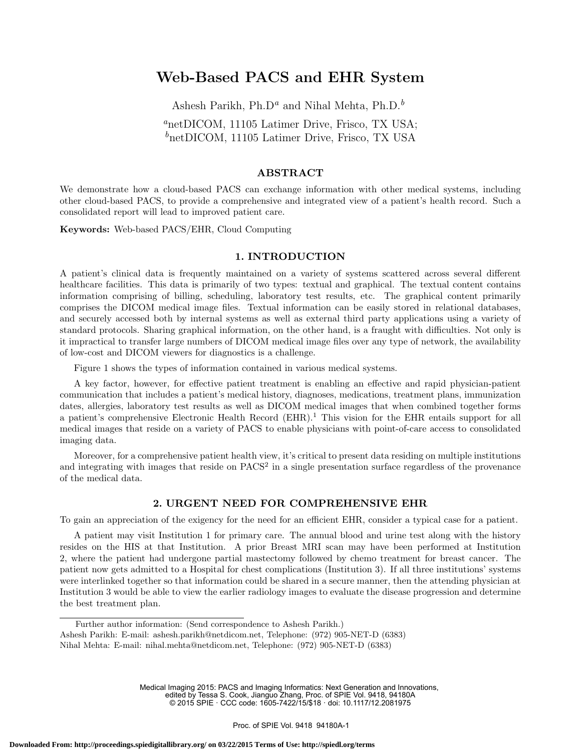# Web-Based PACS and EHR System

Ashesh Parikh, Ph.D<sup>a</sup> and Nihal Mehta, Ph.D.<sup>b</sup>

<sup>a</sup>netDICOM, 11105 Latimer Drive, Frisco, TX USA;  $\delta$ netDICOM, 11105 Latimer Drive, Frisco, TX USA

## ABSTRACT

We demonstrate how a cloud-based PACS can exchange information with other medical systems, including other cloud-based PACS, to provide a comprehensive and integrated view of a patient's health record. Such a consolidated report will lead to improved patient care.

Keywords: Web-based PACS/EHR, Cloud Computing

#### 1. INTRODUCTION

A patient's clinical data is frequently maintained on a variety of systems scattered across several different healthcare facilities. This data is primarily of two types: textual and graphical. The textual content contains information comprising of billing, scheduling, laboratory test results, etc. The graphical content primarily comprises the DICOM medical image files. Textual information can be easily stored in relational databases, and securely accessed both by internal systems as well as external third party applications using a variety of standard protocols. Sharing graphical information, on the other hand, is a fraught with difficulties. Not only is it impractical to transfer large numbers of DICOM medical image files over any type of network, the availability of low-cost and DICOM viewers for diagnostics is a challenge.

Figure 1 shows the types of information contained in various medical systems.

A key factor, however, for effective patient treatment is enabling an effective and rapid physician-patient communication that includes a patient's medical history, diagnoses, medications, treatment plans, immunization dates, allergies, laboratory test results as well as DICOM medical images that when combined together forms a patient's comprehensive Electronic Health Record (EHR).<sup>1</sup> This vision for the EHR entails support for all medical images that reside on a variety of PACS to enable physicians with point-of-care access to consolidated imaging data.

Moreover, for a comprehensive patient health view, it's critical to present data residing on multiple institutions and integrating with images that reside on  $PACS<sup>2</sup>$  in a single presentation surface regardless of the provenance of the medical data.

## 2. URGENT NEED FOR COMPREHENSIVE EHR

To gain an appreciation of the exigency for the need for an efficient EHR, consider a typical case for a patient.

A patient may visit Institution 1 for primary care. The annual blood and urine test along with the history resides on the HIS at that Institution. A prior Breast MRI scan may have been performed at Institution 2, where the patient had undergone partial mastectomy followed by chemo treatment for breast cancer. The patient now gets admitted to a Hospital for chest complications (Institution 3). If all three institutions' systems were interlinked together so that information could be shared in a secure manner, then the attending physician at Institution 3 would be able to view the earlier radiology images to evaluate the disease progression and determine the best treatment plan.

Medical Imaging 2015: PACS and Imaging Informatics: Next Generation and Innovations, edited by Tessa S. Cook, Jianguo Zhang, Proc. of SPIE Vol. 9418, 94180A © 2015 SPIE · CCC code: 1605-7422/15/\$18 · doi: 10.1117/12.2081975

Further author information: (Send correspondence to Ashesh Parikh.)

Ashesh Parikh: E-mail: ashesh.parikh@netdicom.net, Telephone: (972) 905-NET-D (6383)

Nihal Mehta: E-mail: nihal.mehta@netdicom.net, Telephone: (972) 905-NET-D (6383)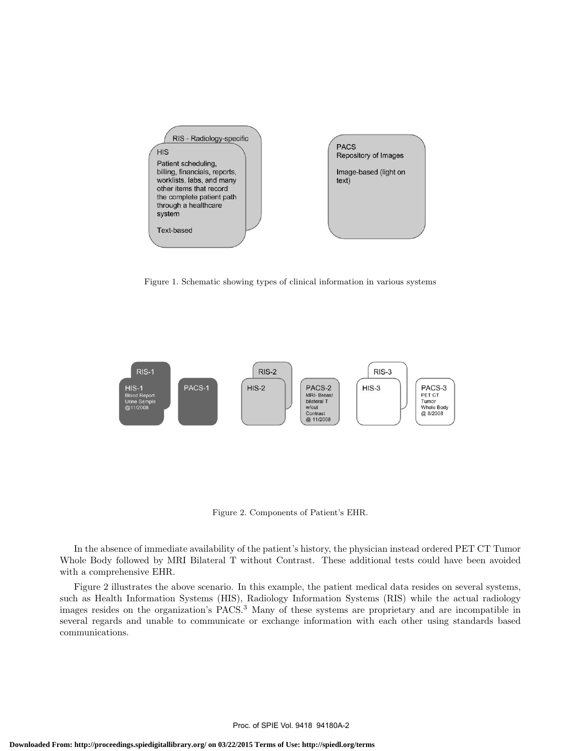

Figure 1. Schematic showing types of clinical information in various systems



Figure 2. Components of Patient's EHR.

In the absence of immediate availability of the patient's history, the physician instead ordered PET CT Tumor Whole Body followed by MRI Bilateral T without Contrast. These additional tests could have been avoided with a comprehensive EHR.

Figure 2 illustrates the above scenario. In this example, the patient medical data resides on several systems, such as Health Information Systems (HIS), Radiology Information Systems (RIS) while the actual radiology images resides on the organization's PACS.<sup>3</sup> Many of these systems are proprietary and are incompatible in several regards and unable to communicate or exchange information with each other using standards based communications.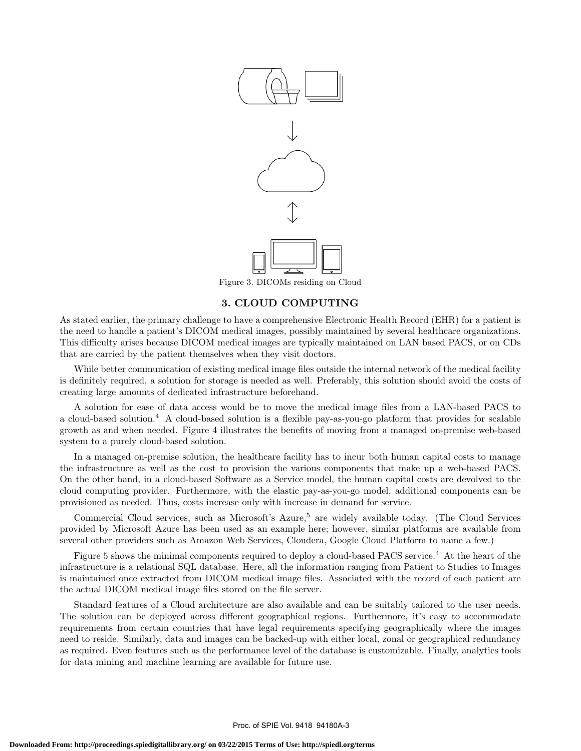

## 3. CLOUD COMPUTING

As stated earlier, the primary challenge to have a comprehensive Electronic Health Record (EHR) for a patient is the need to handle a patient's DICOM medical images, possibly maintained by several healthcare organizations. This difficulty arises because DICOM medical images are typically maintained on LAN based PACS, or on CDs that are carried by the patient themselves when they visit doctors.

While better communication of existing medical image files outside the internal network of the medical facility is definitely required, a solution for storage is needed as well. Preferably, this solution should avoid the costs of creating large amounts of dedicated infrastructure beforehand.

A solution for ease of data access would be to move the medical image files from a LAN-based PACS to a cloud-based solution.<sup>4</sup> A cloud-based solution is a flexible pay-as-you-go platform that provides for scalable growth as and when needed. Figure 4 illustrates the benefits of moving from a managed on-premise web-based system to a purely cloud-based solution.

In a managed on-premise solution, the healthcare facility has to incur both human capital costs to manage the infrastructure as well as the cost to provision the various components that make up a web-based PACS. On the other hand, in a cloud-based Software as a Service model, the human capital costs are devolved to the cloud computing provider. Furthermore, with the elastic pay-as-you-go model, additional components can be provisioned as needed. Thus, costs increase only with increase in demand for service.

Commercial Cloud services, such as Microsoft's Azure,<sup>5</sup> are widely available today. (The Cloud Services provided by Microsoft Azure has been used as an example here; however, similar platforms are available from several other providers such as Amazon Web Services, Cloudera, Google Cloud Platform to name a few.)

Figure 5 shows the minimal components required to deploy a cloud-based PACS service.<sup>4</sup> At the heart of the infrastructure is a relational SQL database. Here, all the information ranging from Patient to Studies to Images is maintained once extracted from DICOM medical image files. Associated with the record of each patient are the actual DICOM medical image files stored on the file server.

Standard features of a Cloud architecture are also available and can be suitably tailored to the user needs. The solution can be deployed across different geographical regions. Furthermore, it's easy to accommodate requirements from certain countries that have legal requirements specifying geographically where the images need to reside. Similarly, data and images can be backed-up with either local, zonal or geographical redundancy as required. Even features such as the performance level of the database is customizable. Finally, analytics tools for data mining and machine learning are available for future use.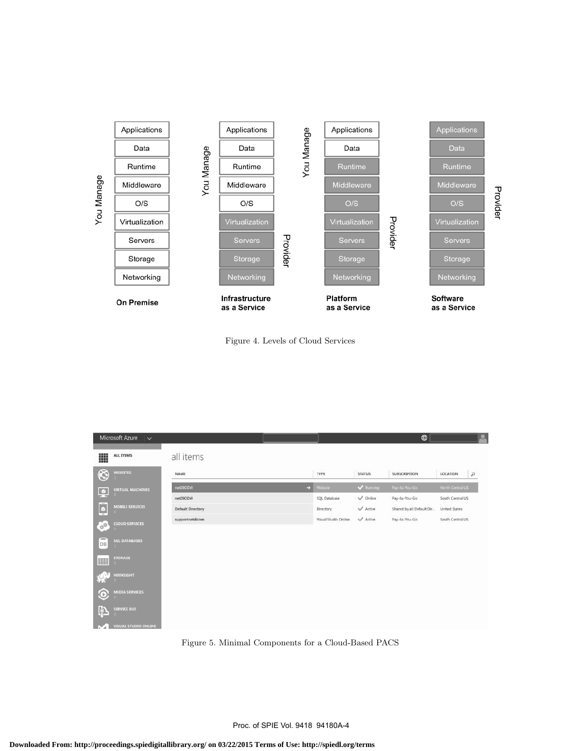



| Microsoft Azure V                      |                          |                      |                     | $\oplus$                  | o                          |
|----------------------------------------|--------------------------|----------------------|---------------------|---------------------------|----------------------------|
| 噩<br>ALL ITEMS                         | all items                |                      |                     |                           |                            |
| $\circledS$<br><b>WEBSITES</b>         | NAME                     | TYPE                 | <b>STATUS</b>       | SUBSCRIPTION              | $\mathfrak{a}$<br>LOCATION |
| <b>VIRTUAL MACHINES</b><br>ņ           | netDICOM                 | Website<br>Ð         | Running             | Pay-As-You-Go             | North Central US           |
|                                        | netDICOM                 | SQL Database         | $\sqrt{}$ Online    | Pay-As-You-Go             | South Central US           |
| <b>MOBILE SERVICES</b><br>Ŀ            | <b>Default Directory</b> | Directory            | Active              | Shared by all Default Dir | United States              |
| <b>CLOUD SERVICES</b><br>$\phi^0$      | supportnetdicom          | Visual Studio Online | $\mathcal V$ Active | Pay-As-You-Go             | South Central US           |
| $\equiv$<br><b>SOL DATABASES</b><br>DB |                          |                      |                     |                           |                            |
| <b>STORAGE</b><br>m                    |                          |                      |                     |                           |                            |
| HDINSIGHT<br>$\mathbb{C}^3$            |                          |                      |                     |                           |                            |
| <b>MEDIA SERVICES</b><br>Ю             |                          |                      |                     |                           |                            |
| Þ<br><b>SERVICE BUS</b>                |                          |                      |                     |                           |                            |
| VISUAL STUDIO ONLINE                   |                          |                      |                     |                           |                            |

Figure 5. Minimal Components for a Cloud-Based PACS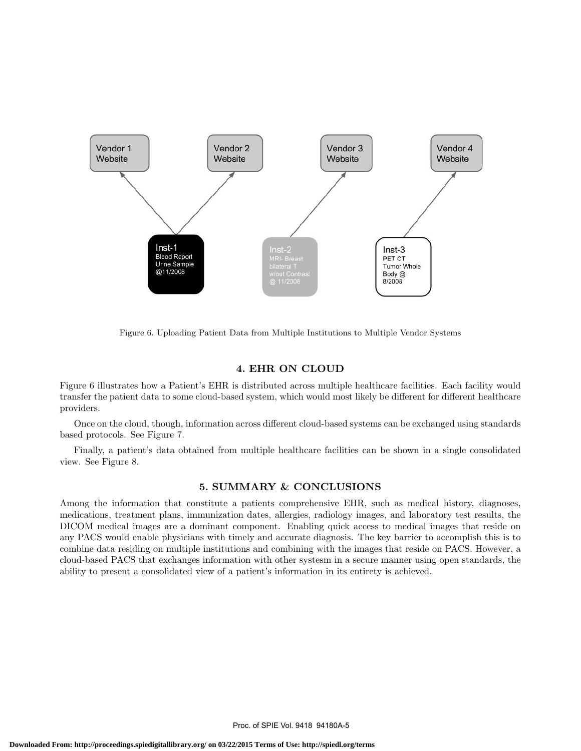

Figure 6. Uploading Patient Data from Multiple Institutions to Multiple Vendor Systems

#### 4. EHR ON CLOUD

Figure 6 illustrates how a Patient's EHR is distributed across multiple healthcare facilities. Each facility would transfer the patient data to some cloud-based system, which would most likely be different for different healthcare providers.

Once on the cloud, though, information across different cloud-based systems can be exchanged using standards based protocols. See Figure 7.

Finally, a patient's data obtained from multiple healthcare facilities can be shown in a single consolidated view. See Figure 8.

## 5. SUMMARY & CONCLUSIONS

Among the information that constitute a patients comprehensive EHR, such as medical history, diagnoses, medications, treatment plans, immunization dates, allergies, radiology images, and laboratory test results, the DICOM medical images are a dominant component. Enabling quick access to medical images that reside on any PACS would enable physicians with timely and accurate diagnosis. The key barrier to accomplish this is to combine data residing on multiple institutions and combining with the images that reside on PACS. However, a cloud-based PACS that exchanges information with other systesm in a secure manner using open standards, the ability to present a consolidated view of a patient's information in its entirety is achieved.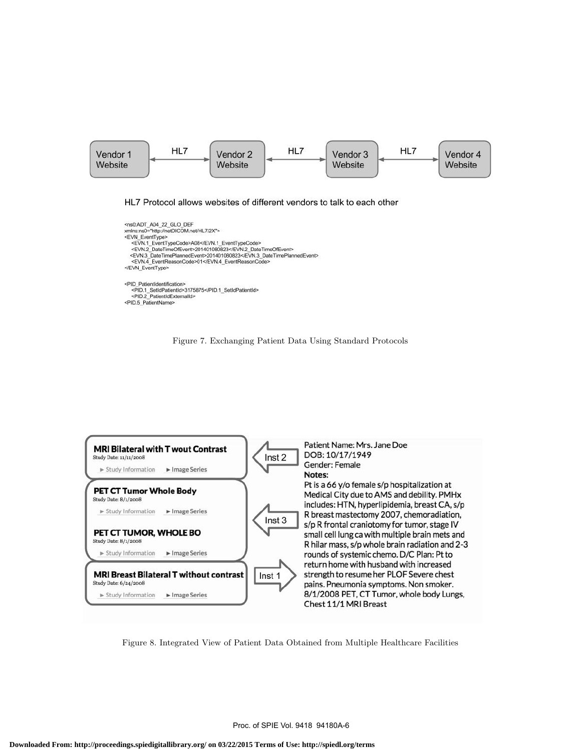

HL7 Protocol allows websites of different vendors to talk to each other

<ns0:ADT\_A04\_22\_GLO\_DEF<br>xmlns:ns0="http://netDICOM.net/HL7/2X"> <EVN\_EventType> <EVN.1\_EventTypeCode>A08</EVN.1\_EventTypeCode> <EVN.2\_DateTimeOfEvent>201401080823</EVN.2\_DateTimeOfEvent> <EVN.3\_DateTimePlannedEvent>201401080823</EVN.3\_DateTimePlannedEvent> <EVN.4\_EventReasonCode>01</EVN.4\_EventReasonCode> </EVN\_EventType> <PID PatientIdentification> <PID.1\_SetIdPatientId>3175875</PID.1\_SetIdPatientId><br><PID.2\_PatientIdExternalId> <PID.5\_PatientName>





Figure 8. Integrated View of Patient Data Obtained from Multiple Healthcare Facilities

Proc. of SPIE Vol. 9418 94180A-6